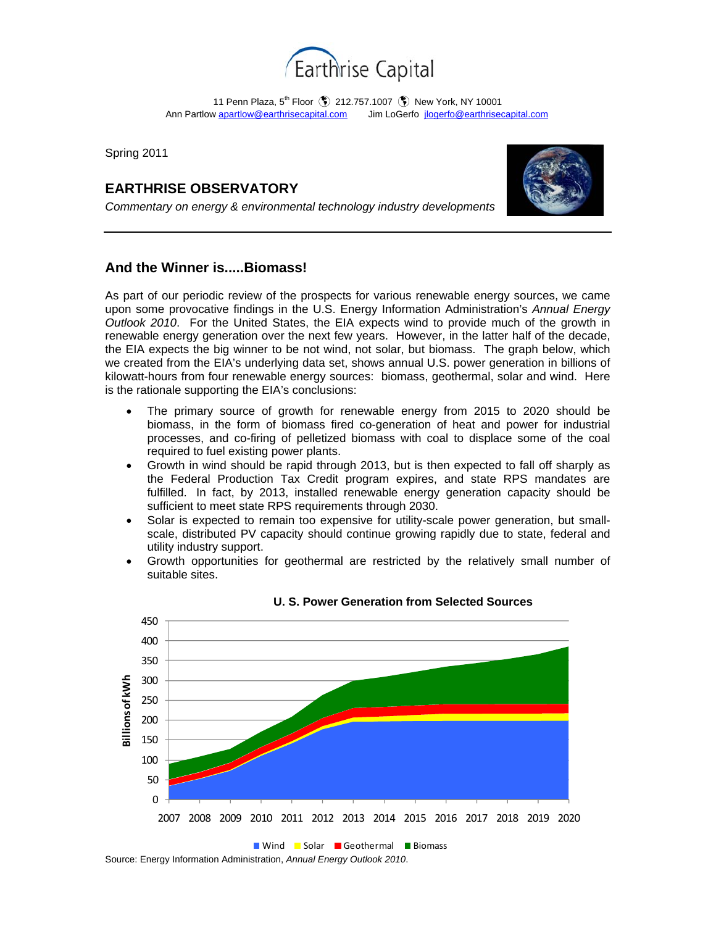

11 Penn Plaza, 5<sup>th</sup> Floor (\$) 212.757.1007 (\$) New York, NY 10001 Ann Partlow apartlow@earthrisecapital.comJim LoGerfo jlogerfo@earthrisecapital.com

Spring 2011

# **EARTHRISE OBSERVATORY**



*Commentary on energy & environmental technology industry developments* 

## **And the Winner is.....Biomass!**

As part of our periodic review of the prospects for various renewable energy sources, we came upon some provocative findings in the U.S. Energy Information Administration's *Annual Energy Outlook 2010*. For the United States, the EIA expects wind to provide much of the growth in renewable energy generation over the next few years. However, in the latter half of the decade, the EIA expects the big winner to be not wind, not solar, but biomass. The graph below, which we created from the EIA's underlying data set, shows annual U.S. power generation in billions of kilowatt-hours from four renewable energy sources: biomass, geothermal, solar and wind. Here is the rationale supporting the EIA's conclusions:

- The primary source of growth for renewable energy from 2015 to 2020 should be biomass, in the form of biomass fired co-generation of heat and power for industrial processes, and co-firing of pelletized biomass with coal to displace some of the coal required to fuel existing power plants.
- Growth in wind should be rapid through 2013, but is then expected to fall off sharply as the Federal Production Tax Credit program expires, and state RPS mandates are fulfilled. In fact, by 2013, installed renewable energy generation capacity should be sufficient to meet state RPS requirements through 2030.
- Solar is expected to remain too expensive for utility-scale power generation, but smallscale, distributed PV capacity should continue growing rapidly due to state, federal and utility industry support.
- Growth opportunities for geothermal are restricted by the relatively small number of suitable sites.



### **U. S. Power Generation from Selected Sources**

Source: Energy Information Administration, *Annual Energy Outlook 2010*.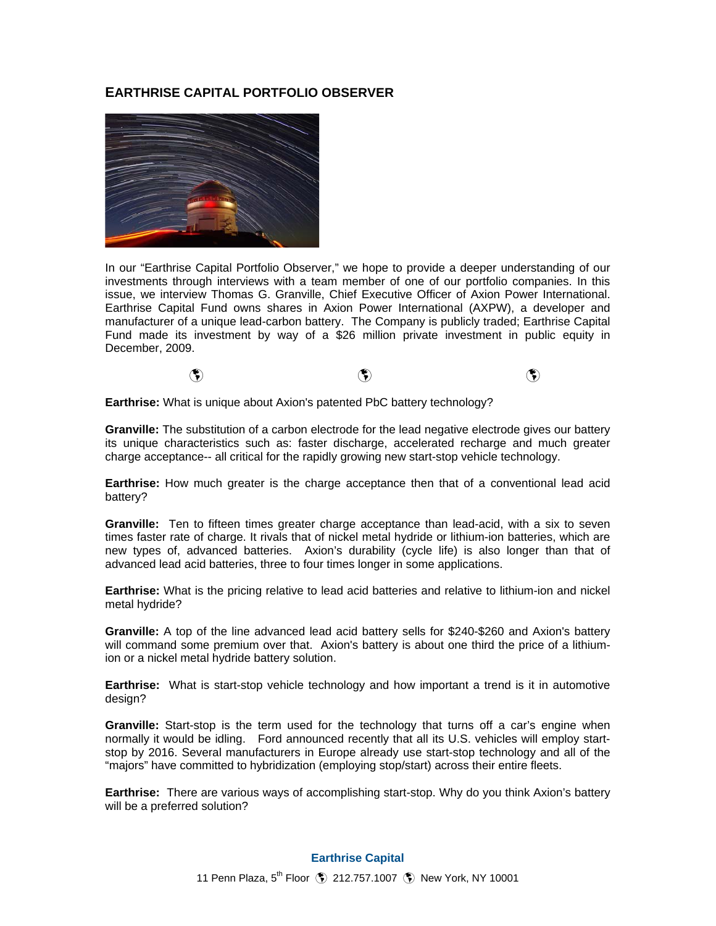### **EARTHRISE CAPITAL PORTFOLIO OBSERVER**



In our "Earthrise Capital Portfolio Observer," we hope to provide a deeper understanding of our investments through interviews with a team member of one of our portfolio companies. In this issue, we interview Thomas G. Granville, Chief Executive Officer of Axion Power International. Earthrise Capital Fund owns shares in Axion Power International (AXPW), a developer and manufacturer of a unique lead-carbon battery. The Company is publicly traded; Earthrise Capital Fund made its investment by way of a \$26 million private investment in public equity in December, 2009.



**Earthrise:** What is unique about Axion's patented PbC battery technology?

**Granville:** The substitution of a carbon electrode for the lead negative electrode gives our battery its unique characteristics such as: faster discharge, accelerated recharge and much greater charge acceptance-- all critical for the rapidly growing new start-stop vehicle technology.

**Earthrise:** How much greater is the charge acceptance then that of a conventional lead acid battery?

**Granville:** Ten to fifteen times greater charge acceptance than lead-acid, with a six to seven times faster rate of charge. It rivals that of nickel metal hydride or lithium-ion batteries, which are new types of, advanced batteries. Axion's durability (cycle life) is also longer than that of advanced lead acid batteries, three to four times longer in some applications.

**Earthrise:** What is the pricing relative to lead acid batteries and relative to lithium-ion and nickel metal hydride?

**Granville:** A top of the line advanced lead acid battery sells for \$240-\$260 and Axion's battery will command some premium over that. Axion's battery is about one third the price of a lithiumion or a nickel metal hydride battery solution.

**Earthrise:** What is start-stop vehicle technology and how important a trend is it in automotive desian?

**Granville:** Start-stop is the term used for the technology that turns off a car's engine when normally it would be idling. Ford announced recently that all its U.S. vehicles will employ startstop by 2016. Several manufacturers in Europe already use start-stop technology and all of the "majors" have committed to hybridization (employing stop/start) across their entire fleets.

**Earthrise:** There are various ways of accomplishing start-stop. Why do you think Axion's battery will be a preferred solution?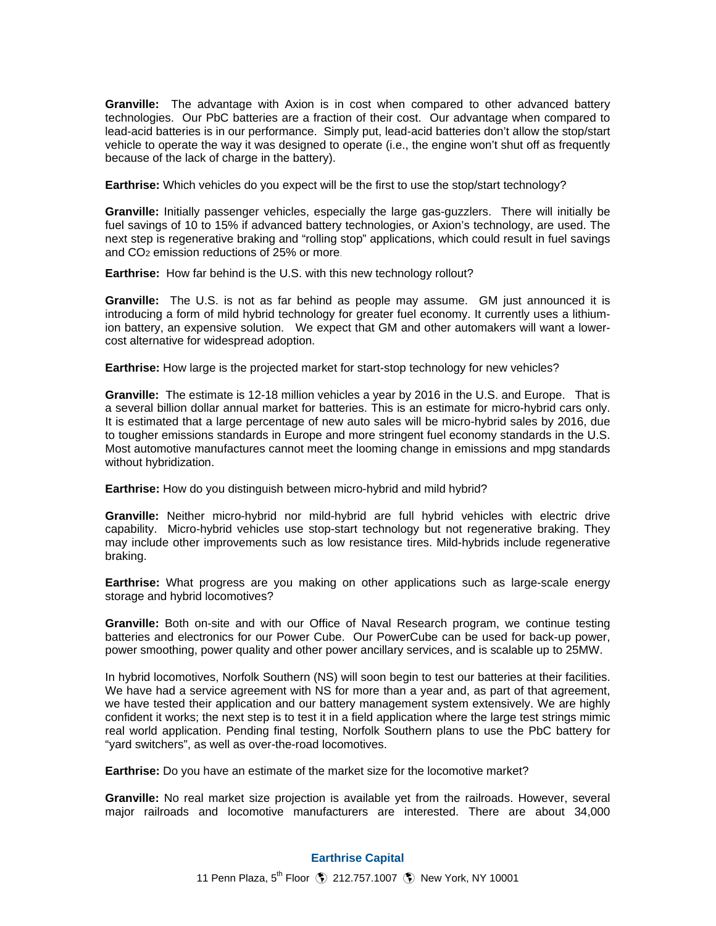**Granville:** The advantage with Axion is in cost when compared to other advanced battery technologies. Our PbC batteries are a fraction of their cost. Our advantage when compared to lead-acid batteries is in our performance. Simply put, lead-acid batteries don't allow the stop/start vehicle to operate the way it was designed to operate (i.e., the engine won't shut off as frequently because of the lack of charge in the battery).

**Earthrise:** Which vehicles do you expect will be the first to use the stop/start technology?

**Granville:** Initially passenger vehicles, especially the large gas-guzzlers. There will initially be fuel savings of 10 to 15% if advanced battery technologies, or Axion's technology, are used. The next step is regenerative braking and "rolling stop" applications, which could result in fuel savings and CO2 emission reductions of 25% or more.

**Earthrise:** How far behind is the U.S. with this new technology rollout?

**Granville:** The U.S. is not as far behind as people may assume. GM just announced it is introducing a form of mild hybrid technology for greater fuel economy. It currently uses a lithiumion battery, an expensive solution. We expect that GM and other automakers will want a lowercost alternative for widespread adoption.

**Earthrise:** How large is the projected market for start-stop technology for new vehicles?

**Granville:** The estimate is 12-18 million vehicles a year by 2016 in the U.S. and Europe. That is a several billion dollar annual market for batteries. This is an estimate for micro-hybrid cars only. It is estimated that a large percentage of new auto sales will be micro-hybrid sales by 2016, due to tougher emissions standards in Europe and more stringent fuel economy standards in the U.S. Most automotive manufactures cannot meet the looming change in emissions and mpg standards without hybridization.

**Earthrise:** How do you distinguish between micro-hybrid and mild hybrid?

**Granville:** Neither micro-hybrid nor mild-hybrid are full hybrid vehicles with electric drive capability. Micro-hybrid vehicles use stop-start technology but not regenerative braking. They may include other improvements such as low resistance tires. Mild-hybrids include regenerative braking.

**Earthrise:** What progress are you making on other applications such as large-scale energy storage and hybrid locomotives?

**Granville:** Both on-site and with our Office of Naval Research program, we continue testing batteries and electronics for our Power Cube. Our PowerCube can be used for back-up power, power smoothing, power quality and other power ancillary services, and is scalable up to 25MW.

In hybrid locomotives, Norfolk Southern (NS) will soon begin to test our batteries at their facilities. We have had a service agreement with NS for more than a year and, as part of that agreement, we have tested their application and our battery management system extensively. We are highly confident it works; the next step is to test it in a field application where the large test strings mimic real world application. Pending final testing, Norfolk Southern plans to use the PbC battery for "yard switchers", as well as over-the-road locomotives.

**Earthrise:** Do you have an estimate of the market size for the locomotive market?

**Granville:** No real market size projection is available yet from the railroads. However, several major railroads and locomotive manufacturers are interested. There are about 34,000